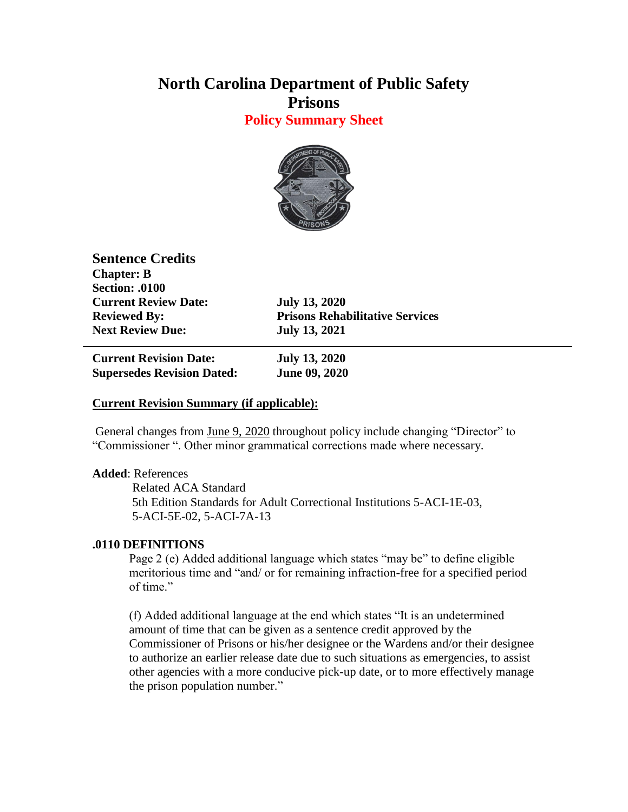# **North Carolina Department of Public Safety Prisons**

**Policy Summary Sheet**



**Sentence Credits Chapter: B Section: .0100 Current Review Date: July 13, 2020 Next Review Due: July 13, 2021**

**Reviewed By: Prisons Rehabilitative Services**

**Current Revision Date: July 13, 2020 Supersedes Revision Dated: June 09, 2020**

## **Current Revision Summary (if applicable):**

General changes from June 9, 2020 throughout policy include changing "Director" to "Commissioner ". Other minor grammatical corrections made where necessary.

### **Added**: References

Related ACA Standard 5th Edition Standards for Adult Correctional Institutions 5-ACI-1E-03, 5-ACI-5E-02, 5-ACI-7A-13

### **.0110 DEFINITIONS**

Page 2 (e) Added additional language which states "may be" to define eligible meritorious time and "and/ or for remaining infraction-free for a specified period of time."

(f) Added additional language at the end which states "It is an undetermined amount of time that can be given as a sentence credit approved by the Commissioner of Prisons or his/her designee or the Wardens and/or their designee to authorize an earlier release date due to such situations as emergencies, to assist other agencies with a more conducive pick-up date, or to more effectively manage the prison population number."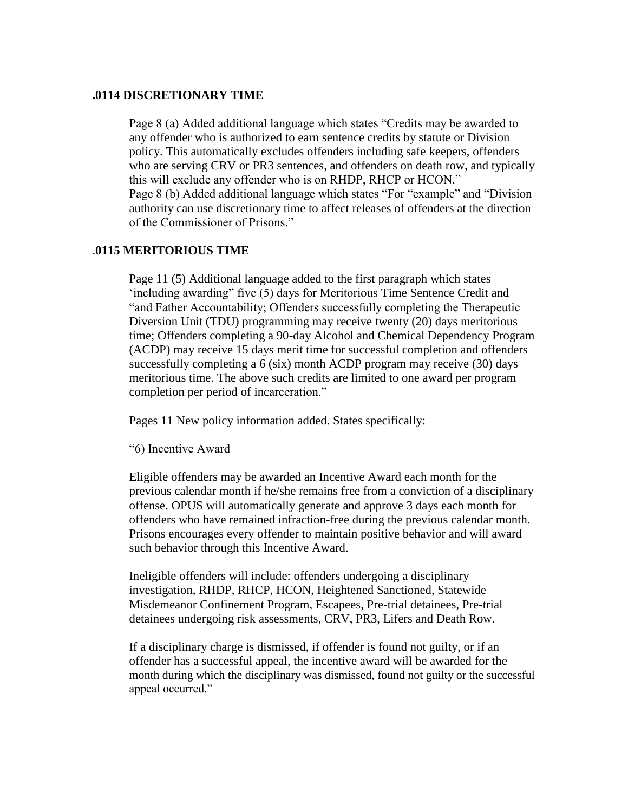#### **.0114 DISCRETIONARY TIME**

Page 8 (a) Added additional language which states "Credits may be awarded to any offender who is authorized to earn sentence credits by statute or Division policy. This automatically excludes offenders including safe keepers, offenders who are serving CRV or PR3 sentences, and offenders on death row, and typically this will exclude any offender who is on RHDP, RHCP or HCON." Page 8 (b) Added additional language which states "For "example" and "Division authority can use discretionary time to affect releases of offenders at the direction of the Commissioner of Prisons."

#### .**0115 MERITORIOUS TIME**

Page 11 (5) Additional language added to the first paragraph which states 'including awarding" five (5) days for Meritorious Time Sentence Credit and "and Father Accountability; Offenders successfully completing the Therapeutic Diversion Unit (TDU) programming may receive twenty (20) days meritorious time; Offenders completing a 90-day Alcohol and Chemical Dependency Program (ACDP) may receive 15 days merit time for successful completion and offenders successfully completing a 6 (six) month ACDP program may receive (30) days meritorious time. The above such credits are limited to one award per program completion per period of incarceration."

Pages 11 New policy information added. States specifically:

"6) Incentive Award

Eligible offenders may be awarded an Incentive Award each month for the previous calendar month if he/she remains free from a conviction of a disciplinary offense. OPUS will automatically generate and approve 3 days each month for offenders who have remained infraction-free during the previous calendar month. Prisons encourages every offender to maintain positive behavior and will award such behavior through this Incentive Award.

Ineligible offenders will include: offenders undergoing a disciplinary investigation, RHDP, RHCP, HCON, Heightened Sanctioned, Statewide Misdemeanor Confinement Program, Escapees, Pre-trial detainees, Pre-trial detainees undergoing risk assessments, CRV, PR3, Lifers and Death Row.

If a disciplinary charge is dismissed, if offender is found not guilty, or if an offender has a successful appeal, the incentive award will be awarded for the month during which the disciplinary was dismissed, found not guilty or the successful appeal occurred."